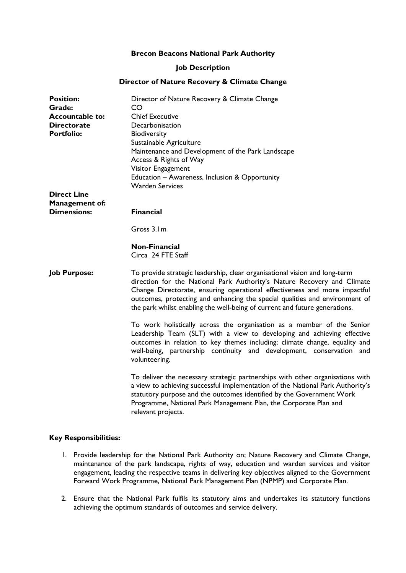#### **Brecon Beacons National Park Authority**

#### **Job Description**

#### **Director of Nature Recovery & Climate Change**

| <b>Position:</b>       | Director of Nature Recovery & Climate Change                                                                                                                                                                                                                                                                                                                                                    |
|------------------------|-------------------------------------------------------------------------------------------------------------------------------------------------------------------------------------------------------------------------------------------------------------------------------------------------------------------------------------------------------------------------------------------------|
| Grade:                 | CO                                                                                                                                                                                                                                                                                                                                                                                              |
| <b>Accountable to:</b> | <b>Chief Executive</b>                                                                                                                                                                                                                                                                                                                                                                          |
| <b>Directorate</b>     | Decarbonisation                                                                                                                                                                                                                                                                                                                                                                                 |
| <b>Portfolio:</b>      | Biodiversity                                                                                                                                                                                                                                                                                                                                                                                    |
|                        | Sustainable Agriculture                                                                                                                                                                                                                                                                                                                                                                         |
|                        | Maintenance and Development of the Park Landscape                                                                                                                                                                                                                                                                                                                                               |
|                        | Access & Rights of Way                                                                                                                                                                                                                                                                                                                                                                          |
|                        | Visitor Engagement                                                                                                                                                                                                                                                                                                                                                                              |
|                        | Education – Awareness, Inclusion & Opportunity                                                                                                                                                                                                                                                                                                                                                  |
|                        | <b>Warden Services</b>                                                                                                                                                                                                                                                                                                                                                                          |
| <b>Direct Line</b>     |                                                                                                                                                                                                                                                                                                                                                                                                 |
| <b>Management of:</b>  |                                                                                                                                                                                                                                                                                                                                                                                                 |
| <b>Dimensions:</b>     | <b>Financial</b>                                                                                                                                                                                                                                                                                                                                                                                |
|                        | Gross 3.1m                                                                                                                                                                                                                                                                                                                                                                                      |
|                        | <b>Non-Financial</b><br>Circa 24 FTE Staff                                                                                                                                                                                                                                                                                                                                                      |
| <b>Job Purpose:</b>    | To provide strategic leadership, clear organisational vision and long-term<br>direction for the National Park Authority's Nature Recovery and Climate<br>Change Directorate, ensuring operational effectiveness and more impactful<br>outcomes, protecting and enhancing the special qualities and environment of<br>the park whilst enabling the well-being of current and future generations. |
|                        | To work holistically across the organisation as a member of the Senior<br>Leadership Team (SLT) with a view to developing and achieving effective<br>outcomes in relation to key themes including; climate change, equality and<br>well-being, partnership continuity and development, conservation and<br>volunteering.                                                                        |
|                        | To deliver the necessary strategic partnerships with other organisations with<br>a view to achieving successful implementation of the National Park Authority's<br>statutory purpose and the outcomes identified by the Government Work<br>Programme, National Park Management Plan, the Corporate Plan and<br>relevant projects.                                                               |

#### **Key Responsibilities:**

- 1. Provide leadership for the National Park Authority on; Nature Recovery and Climate Change, maintenance of the park landscape, rights of way, education and warden services and visitor engagement, leading the respective teams in delivering key objectives aligned to the Government Forward Work Programme, National Park Management Plan (NPMP) and Corporate Plan.
- 2. Ensure that the National Park fulfils its statutory aims and undertakes its statutory functions achieving the optimum standards of outcomes and service delivery.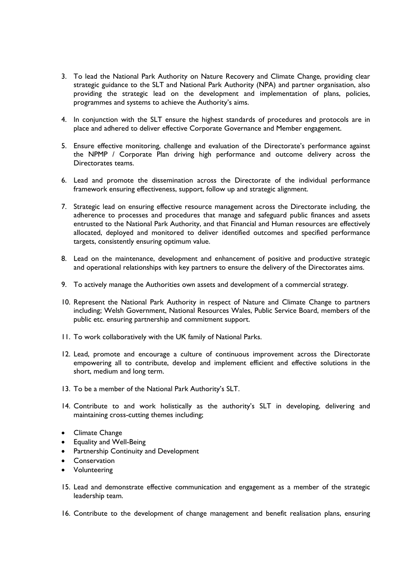- 3. To lead the National Park Authority on Nature Recovery and Climate Change, providing clear strategic guidance to the SLT and National Park Authority (NPA) and partner organisation, also providing the strategic lead on the development and implementation of plans, policies, programmes and systems to achieve the Authority's aims.
- 4. In conjunction with the SLT ensure the highest standards of procedures and protocols are in place and adhered to deliver effective Corporate Governance and Member engagement.
- 5. Ensure effective monitoring, challenge and evaluation of the Directorate's performance against the NPMP / Corporate Plan driving high performance and outcome delivery across the Directorates teams.
- 6. Lead and promote the dissemination across the Directorate of the individual performance framework ensuring effectiveness, support, follow up and strategic alignment.
- 7. Strategic lead on ensuring effective resource management across the Directorate including, the adherence to processes and procedures that manage and safeguard public finances and assets entrusted to the National Park Authority, and that Financial and Human resources are effectively allocated, deployed and monitored to deliver identified outcomes and specified performance targets, consistently ensuring optimum value.
- 8. Lead on the maintenance, development and enhancement of positive and productive strategic and operational relationships with key partners to ensure the delivery of the Directorates aims.
- 9. To actively manage the Authorities own assets and development of a commercial strategy.
- 10. Represent the National Park Authority in respect of Nature and Climate Change to partners including; Welsh Government, National Resources Wales, Public Service Board, members of the public etc. ensuring partnership and commitment support.
- 11. To work collaboratively with the UK family of National Parks.
- 12. Lead, promote and encourage a culture of continuous improvement across the Directorate empowering all to contribute, develop and implement efficient and effective solutions in the short, medium and long term.
- 13. To be a member of the National Park Authority's SLT.
- 14. Contribute to and work holistically as the authority's SLT in developing, delivering and maintaining cross-cutting themes including;
- Climate Change
- Equality and Well-Being
- **•** Partnership Continuity and Development
- **•** Conservation
- Volunteering
- 15. Lead and demonstrate effective communication and engagement as a member of the strategic leadership team.
- 16. Contribute to the development of change management and benefit realisation plans, ensuring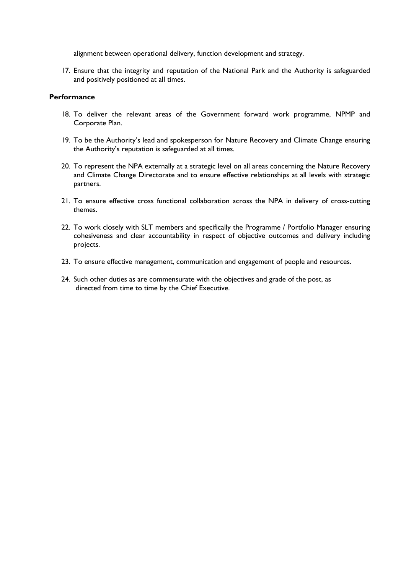alignment between operational delivery, function development and strategy.

17. Ensure that the integrity and reputation of the National Park and the Authority is safeguarded and positively positioned at all times.

#### **Performance**

- 18. To deliver the relevant areas of the Government forward work programme, NPMP and Corporate Plan.
- 19. To be the Authority's lead and spokesperson for Nature Recovery and Climate Change ensuring the Authority's reputation is safeguarded at all times.
- 20. To represent the NPA externally at a strategic level on all areas concerning the Nature Recovery and Climate Change Directorate and to ensure effective relationships at all levels with strategic partners.
- 21. To ensure effective cross functional collaboration across the NPA in delivery of cross-cutting themes.
- 22. To work closely with SLT members and specifically the Programme / Portfolio Manager ensuring cohesiveness and clear accountability in respect of objective outcomes and delivery including projects.
- 23. To ensure effective management, communication and engagement of people and resources.
- 24. Such other duties as are commensurate with the objectives and grade of the post, as directed from time to time by the Chief Executive.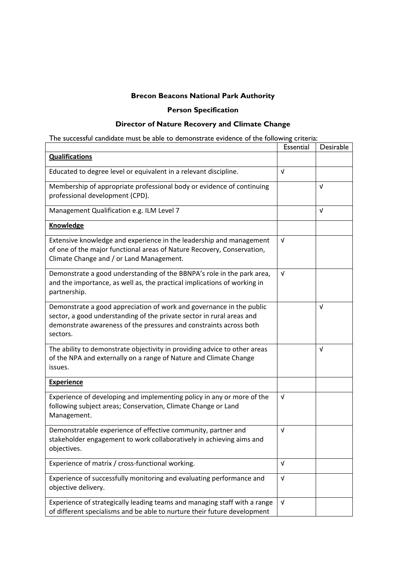# **Brecon Beacons National Park Authority**

## **Person Specification**

## **Director of Nature Recovery and Climate Change**

| The successful candidate must be able to demonstrate evidence of the following criteria:                                                                                                                                        |            |            |  |  |  |
|---------------------------------------------------------------------------------------------------------------------------------------------------------------------------------------------------------------------------------|------------|------------|--|--|--|
|                                                                                                                                                                                                                                 |            | Desirable  |  |  |  |
| <b>Qualifications</b>                                                                                                                                                                                                           |            |            |  |  |  |
| Educated to degree level or equivalent in a relevant discipline.                                                                                                                                                                |            |            |  |  |  |
| Membership of appropriate professional body or evidence of continuing<br>professional development (CPD).                                                                                                                        |            | $\sqrt{ }$ |  |  |  |
| Management Qualification e.g. ILM Level 7                                                                                                                                                                                       |            | V          |  |  |  |
| <b>Knowledge</b>                                                                                                                                                                                                                |            |            |  |  |  |
| Extensive knowledge and experience in the leadership and management<br>of one of the major functional areas of Nature Recovery, Conservation,<br>Climate Change and / or Land Management.                                       | $\sqrt{ }$ |            |  |  |  |
| Demonstrate a good understanding of the BBNPA's role in the park area,<br>and the importance, as well as, the practical implications of working in<br>partnership.                                                              | $\sqrt{ }$ |            |  |  |  |
| Demonstrate a good appreciation of work and governance in the public<br>sector, a good understanding of the private sector in rural areas and<br>demonstrate awareness of the pressures and constraints across both<br>sectors. |            | $\sqrt{ }$ |  |  |  |
| The ability to demonstrate objectivity in providing advice to other areas<br>of the NPA and externally on a range of Nature and Climate Change<br>issues.                                                                       |            | $\sqrt{ }$ |  |  |  |
| <b>Experience</b>                                                                                                                                                                                                               |            |            |  |  |  |
| Experience of developing and implementing policy in any or more of the<br>following subject areas; Conservation, Climate Change or Land<br>Management.                                                                          | V          |            |  |  |  |
| Demonstratable experience of effective community, partner and<br>stakeholder engagement to work collaboratively in achieving aims and<br>objectives.                                                                            |            |            |  |  |  |
| Experience of matrix / cross-functional working.                                                                                                                                                                                |            |            |  |  |  |
| Experience of successfully monitoring and evaluating performance and<br>objective delivery.                                                                                                                                     |            |            |  |  |  |
| Experience of strategically leading teams and managing staff with a range<br>of different specialisms and be able to nurture their future development                                                                           | $\sqrt{ }$ |            |  |  |  |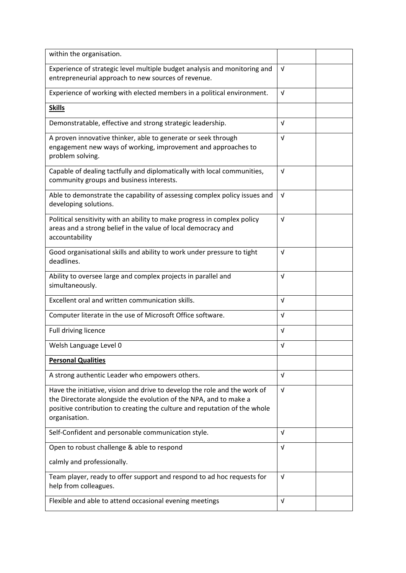| within the organisation.                                                                                                                                                                                                                     |            |  |
|----------------------------------------------------------------------------------------------------------------------------------------------------------------------------------------------------------------------------------------------|------------|--|
| Experience of strategic level multiple budget analysis and monitoring and<br>entrepreneurial approach to new sources of revenue.                                                                                                             |            |  |
| Experience of working with elected members in a political environment.                                                                                                                                                                       |            |  |
| <b>Skills</b>                                                                                                                                                                                                                                |            |  |
| Demonstratable, effective and strong strategic leadership.                                                                                                                                                                                   | $\sqrt{ }$ |  |
| A proven innovative thinker, able to generate or seek through<br>engagement new ways of working, improvement and approaches to<br>problem solving.                                                                                           |            |  |
| Capable of dealing tactfully and diplomatically with local communities,<br>community groups and business interests.                                                                                                                          |            |  |
| Able to demonstrate the capability of assessing complex policy issues and<br>developing solutions.                                                                                                                                           |            |  |
| Political sensitivity with an ability to make progress in complex policy<br>areas and a strong belief in the value of local democracy and<br>accountability                                                                                  | $\sqrt{ }$ |  |
| Good organisational skills and ability to work under pressure to tight<br>deadlines.                                                                                                                                                         |            |  |
| Ability to oversee large and complex projects in parallel and<br>simultaneously.                                                                                                                                                             |            |  |
| Excellent oral and written communication skills.                                                                                                                                                                                             |            |  |
| Computer literate in the use of Microsoft Office software.                                                                                                                                                                                   |            |  |
| Full driving licence                                                                                                                                                                                                                         |            |  |
| Welsh Language Level 0                                                                                                                                                                                                                       |            |  |
| <b>Personal Qualities</b>                                                                                                                                                                                                                    |            |  |
| A strong authentic Leader who empowers others.                                                                                                                                                                                               | $\sqrt{ }$ |  |
| Have the initiative, vision and drive to develop the role and the work of<br>the Directorate alongside the evolution of the NPA, and to make a<br>positive contribution to creating the culture and reputation of the whole<br>organisation. |            |  |
| Self-Confident and personable communication style.                                                                                                                                                                                           | $\sqrt{ }$ |  |
| Open to robust challenge & able to respond                                                                                                                                                                                                   |            |  |
| calmly and professionally.                                                                                                                                                                                                                   |            |  |
| Team player, ready to offer support and respond to ad hoc requests for<br>help from colleagues.                                                                                                                                              |            |  |
| Flexible and able to attend occasional evening meetings                                                                                                                                                                                      |            |  |